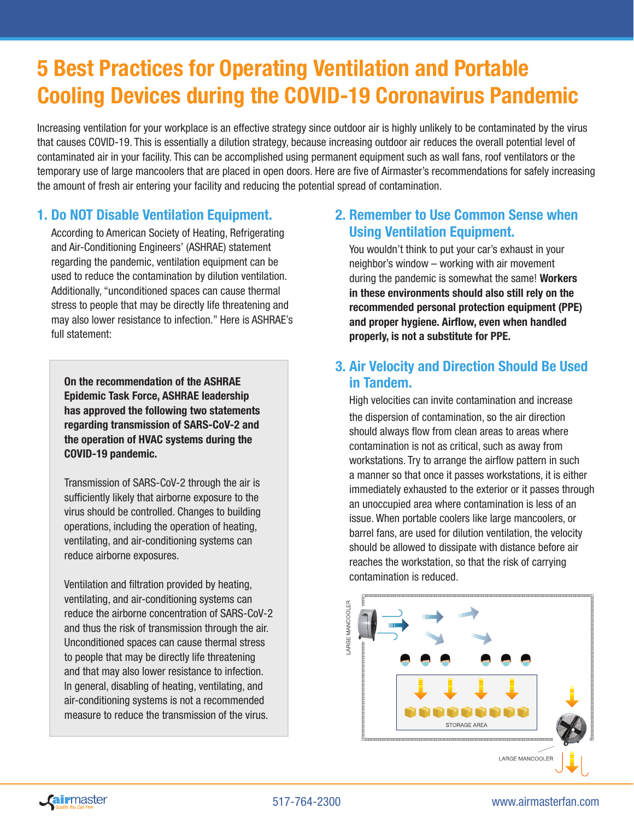# 5 Best Practices for Operating Ventilation and Portable Cooling Devices during the COVID-19 Coronavirus Pandemic

Increasing ventilation for your workplace is an effective strategy since outdoor air is highly unlikely to be contaminated by the virus that causes COVID-19. This is essentially a dilution strategy, because increasing outdoor air reduces the overall potential level of contaminated air in your facility. This can be accomplished using permanent equipment such as wall fans, roof ventilators or the temporary use of large mancoolers that are placed in open doors. Here are five of Airmaster's recommendations for safely increasing the amount of fresh air entering your facility and reducing the potential spread of contamination.

# 1. Do NOT Disable Ventilation Equipment.

According to American Society of Heating, Refrigerating and Air-Conditioning Engineers' (ASHRAE) statement regarding the pandemic, ventilation equipment can be used to reduce the contamination by dilution ventilation. Additionally, "unconditioned spaces can cause thermal stress to people that may be directly life threatening and may also lower resistance to infection." Here is ASHRAE's full statement:

On the recommendation of the ASHRAE Epidemic Task Force, ASHRAE leadership has approved the following two statements regarding transmission of SARS-CoV-2 and the operation of HVAC systems during the COVID-19 pandemic.

Transmission of SARS-CoV-2 through the air is sufficiently likely that airborne exposure to the virus should be controlled. Changes to building operations, including the operation of heating, ventilating, and air-conditioning systems can reduce airborne exposures.

Ventilation and filtration provided by heating, ventilating, and air-conditioning systems can reduce the airborne concentration of SARS-CoV-2 and thus the risk of transmission through the air. Unconditioned spaces can cause thermal stress to people that may be directly life threatening and that may also lower resistance to infection. In general, disabling of heating, ventilating, and air-conditioning systems is not a recommended measure to reduce the transmission of the virus.

# 2. Remember to Use Common Sense when Using Ventilation Equipment.

You wouldn't think to put your car's exhaust in your neighbor's window – working with air movement during the pandemic is somewhat the same! Workers in these environments should also still rely on the recommended personal protection equipment (PPE) and proper hygiene. Airflow, even when handled properly, is not a substitute for PPE.

# 3. Air Velocity and Direction Should Be Used in Tandem.

High velocities can invite contamination and increase the dispersion of contamination, so the air direction should always flow from clean areas to areas where contamination is not as critical, such as away from workstations. Try to arrange the airflow pattern in such a manner so that once it passes workstations, it is either immediately exhausted to the exterior or it passes through an unoccupied area where contamination is less of an issue. When portable coolers like large mancoolers, or barrel fans, are used for dilution ventilation, the velocity should be allowed to dissipate with distance before air reaches the workstation, so that the risk of carrying contamination is reduced.





#### 517-764-2300 www.airmasterfan.com